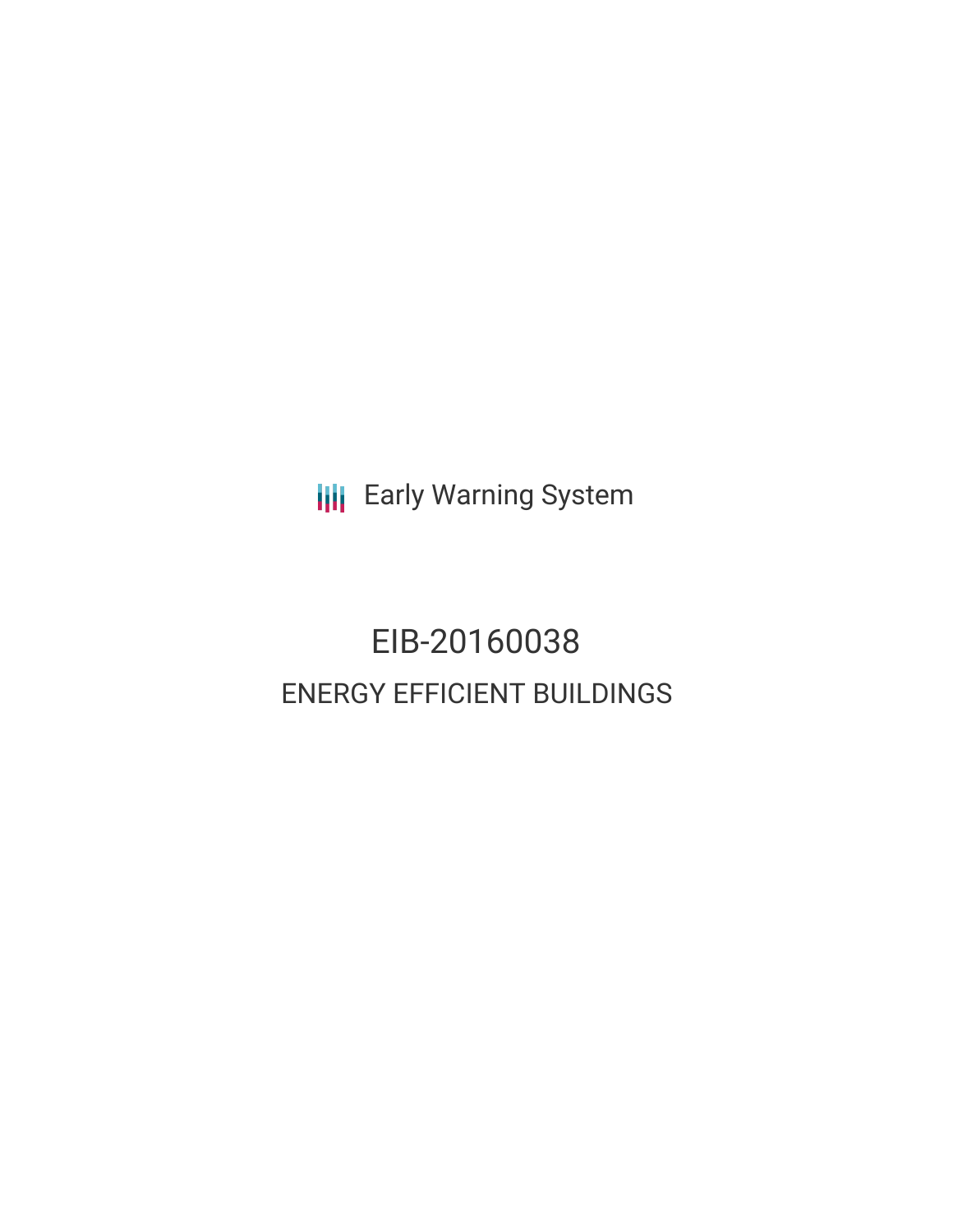**III** Early Warning System

# EIB-20160038 ENERGY EFFICIENT BUILDINGS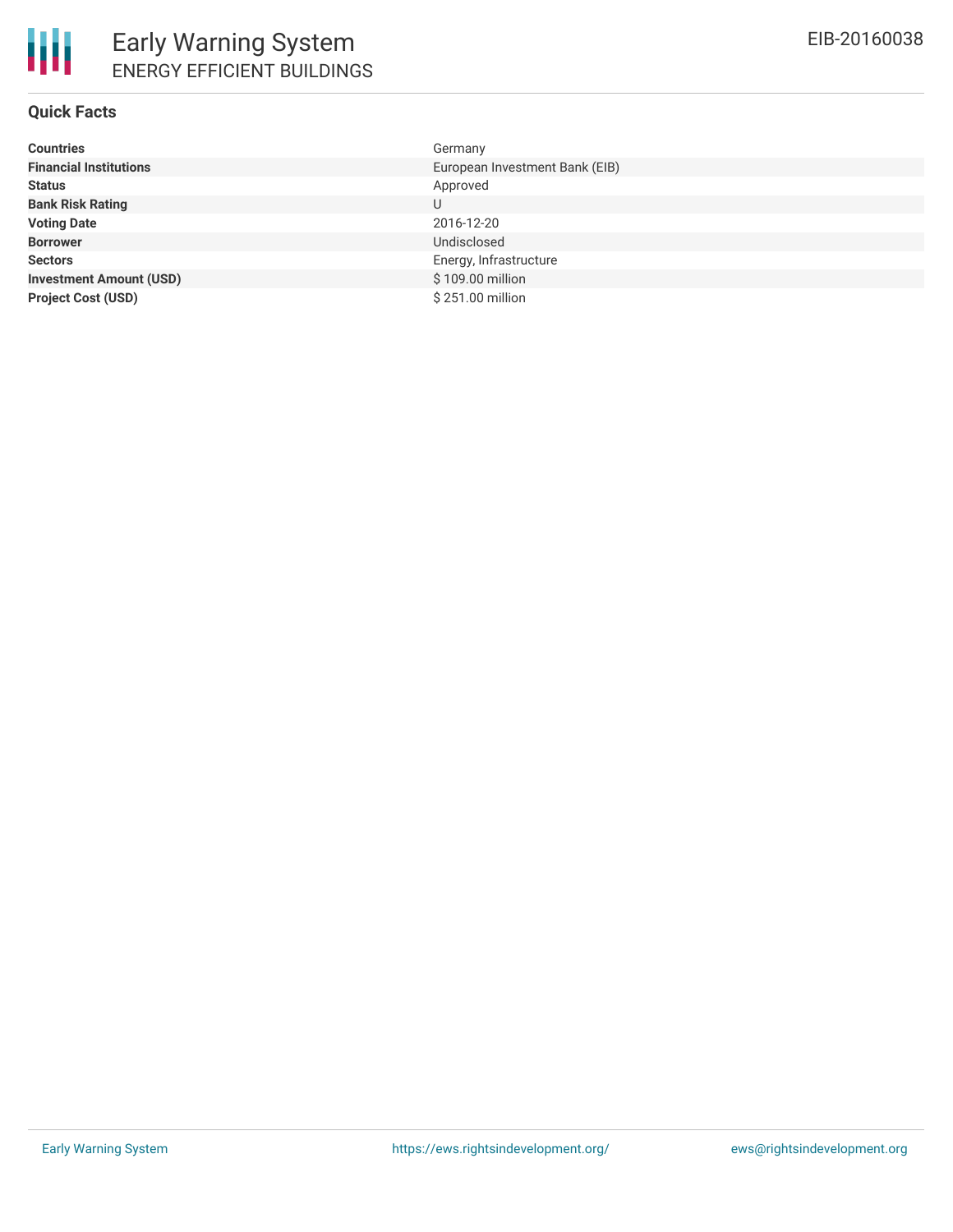# **Quick Facts**

| <b>Countries</b>               | Germany                        |
|--------------------------------|--------------------------------|
| <b>Financial Institutions</b>  | European Investment Bank (EIB) |
| <b>Status</b>                  | Approved                       |
| <b>Bank Risk Rating</b>        | U                              |
| <b>Voting Date</b>             | 2016-12-20                     |
| <b>Borrower</b>                | Undisclosed                    |
| <b>Sectors</b>                 | Energy, Infrastructure         |
| <b>Investment Amount (USD)</b> | \$109.00 million               |
| <b>Project Cost (USD)</b>      | \$251.00 million               |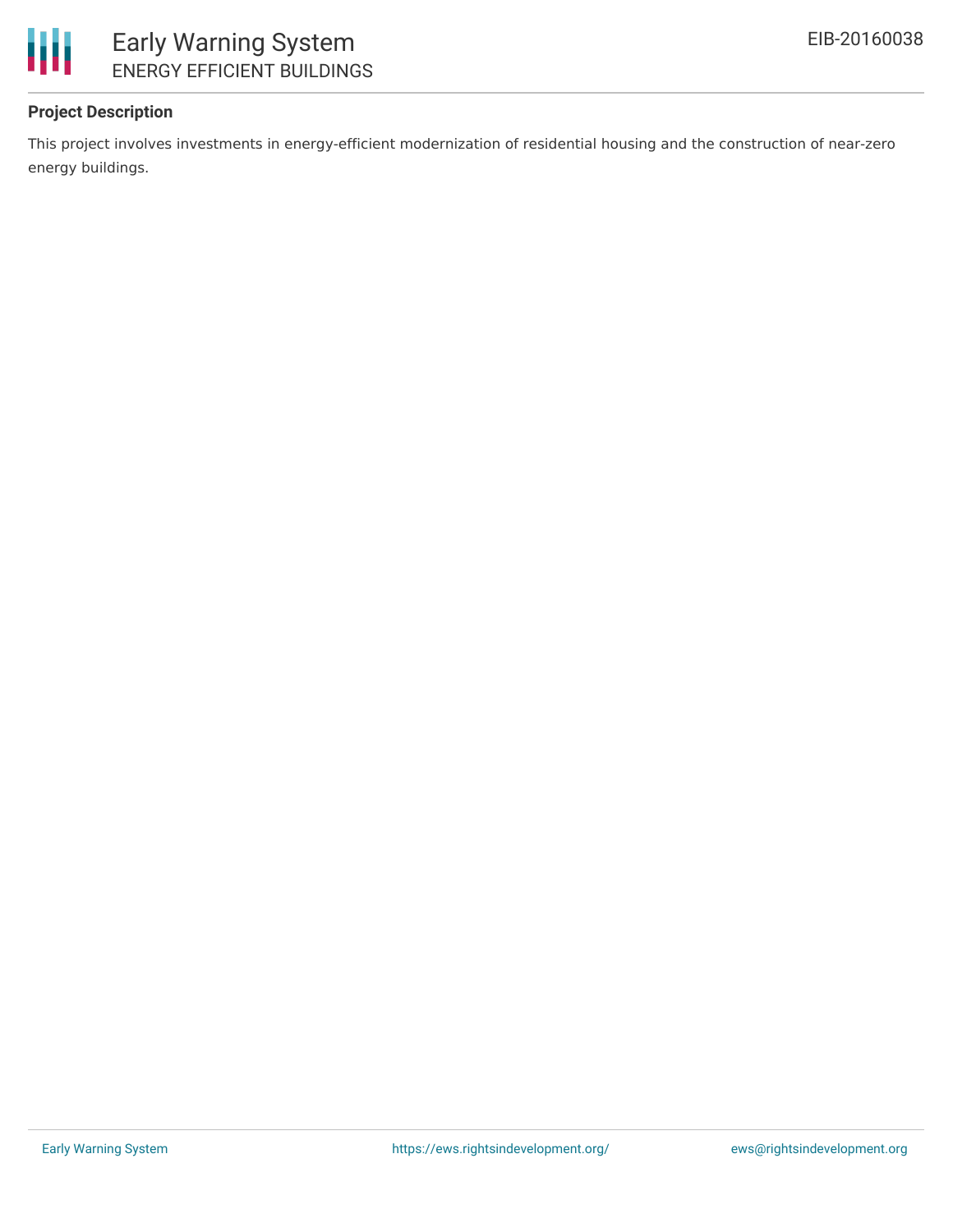

# **Project Description**

This project involves investments in energy-efficient modernization of residential housing and the construction of near-zero energy buildings.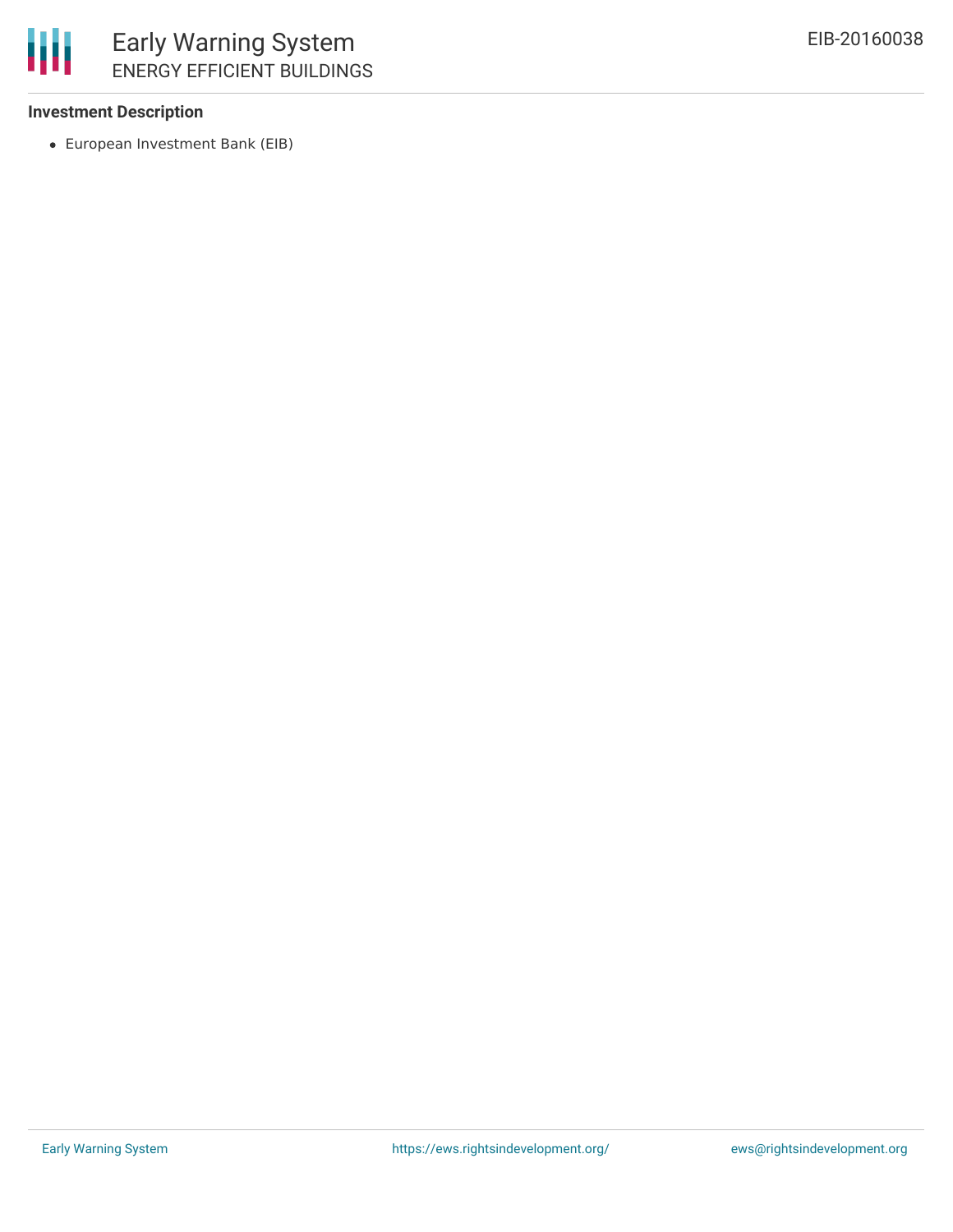

## **Investment Description**

European Investment Bank (EIB)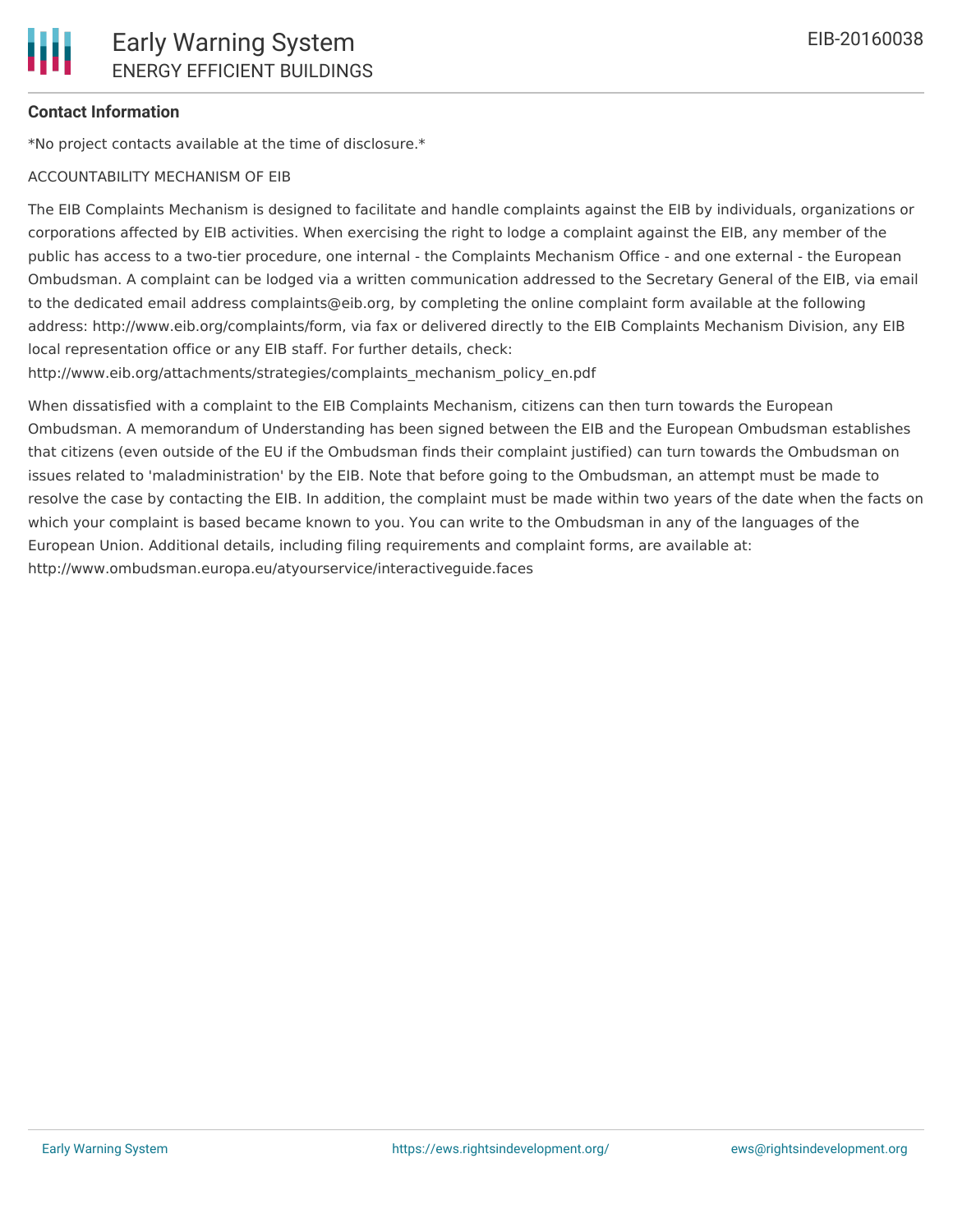## **Contact Information**

\*No project contacts available at the time of disclosure.\*

#### ACCOUNTABILITY MECHANISM OF EIB

The EIB Complaints Mechanism is designed to facilitate and handle complaints against the EIB by individuals, organizations or corporations affected by EIB activities. When exercising the right to lodge a complaint against the EIB, any member of the public has access to a two-tier procedure, one internal - the Complaints Mechanism Office - and one external - the European Ombudsman. A complaint can be lodged via a written communication addressed to the Secretary General of the EIB, via email to the dedicated email address complaints@eib.org, by completing the online complaint form available at the following address: http://www.eib.org/complaints/form, via fax or delivered directly to the EIB Complaints Mechanism Division, any EIB local representation office or any EIB staff. For further details, check:

http://www.eib.org/attachments/strategies/complaints\_mechanism\_policy\_en.pdf

When dissatisfied with a complaint to the EIB Complaints Mechanism, citizens can then turn towards the European Ombudsman. A memorandum of Understanding has been signed between the EIB and the European Ombudsman establishes that citizens (even outside of the EU if the Ombudsman finds their complaint justified) can turn towards the Ombudsman on issues related to 'maladministration' by the EIB. Note that before going to the Ombudsman, an attempt must be made to resolve the case by contacting the EIB. In addition, the complaint must be made within two years of the date when the facts on which your complaint is based became known to you. You can write to the Ombudsman in any of the languages of the European Union. Additional details, including filing requirements and complaint forms, are available at: http://www.ombudsman.europa.eu/atyourservice/interactiveguide.faces